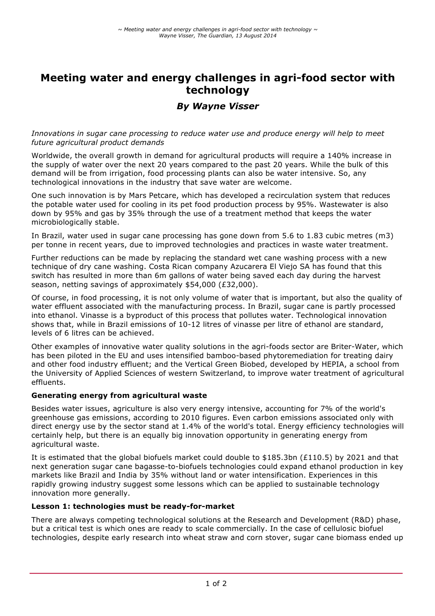# **Meeting water and energy challenges in agri-food sector with technology**

## *By Wayne Visser*

*Innovations in sugar cane processing to reduce water use and produce energy will help to meet future agricultural product demands*

Worldwide, the overall growth in demand for agricultural products will require a 140% increase in the supply of water over the next 20 years compared to the past 20 years. While the bulk of this demand will be from irrigation, food processing plants can also be water intensive. So, any technological innovations in the industry that save water are welcome.

One such innovation is by Mars Petcare, which has developed a recirculation system that reduces the potable water used for cooling in its pet food production process by 95%. Wastewater is also down by 95% and gas by 35% through the use of a treatment method that keeps the water microbiologically stable.

In Brazil, water used in sugar cane processing has gone down from 5.6 to 1.83 cubic metres (m3) per tonne in recent years, due to improved technologies and practices in waste water treatment.

Further reductions can be made by replacing the standard wet cane washing process with a new technique of dry cane washing. Costa Rican company Azucarera El Viejo SA has found that this switch has resulted in more than 6m gallons of water being saved each day during the harvest season, netting savings of approximately \$54,000 (£32,000).

Of course, in food processing, it is not only volume of water that is important, but also the quality of water effluent associated with the manufacturing process. In Brazil, sugar cane is partly processed into ethanol. Vinasse is a byproduct of this process that pollutes water. Technological innovation shows that, while in Brazil emissions of 10-12 litres of vinasse per litre of ethanol are standard, levels of 6 litres can be achieved.

Other examples of innovative water quality solutions in the agri-foods sector are Briter-Water, which has been piloted in the EU and uses intensified bamboo-based phytoremediation for treating dairy and other food industry effluent; and the Vertical Green Biobed, developed by HEPIA, a school from the University of Applied Sciences of western Switzerland, to improve water treatment of agricultural effluents.

#### **Generating energy from agricultural waste**

Besides water issues, agriculture is also very energy intensive, accounting for 7% of the world's greenhouse gas emissions, according to 2010 figures. Even carbon emissions associated only with direct energy use by the sector stand at 1.4% of the world's total. Energy efficiency technologies will certainly help, but there is an equally big innovation opportunity in generating energy from agricultural waste.

It is estimated that the global biofuels market could double to \$185.3bn (£110.5) by 2021 and that next generation sugar cane bagasse-to-biofuels technologies could expand ethanol production in key markets like Brazil and India by 35% without land or water intensification. Experiences in this rapidly growing industry suggest some lessons which can be applied to sustainable technology innovation more generally.

### **Lesson 1: technologies must be ready-for-market**

There are always competing technological solutions at the Research and Development (R&D) phase, but a critical test is which ones are ready to scale commercially. In the case of cellulosic biofuel technologies, despite early research into wheat straw and corn stover, sugar cane biomass ended up